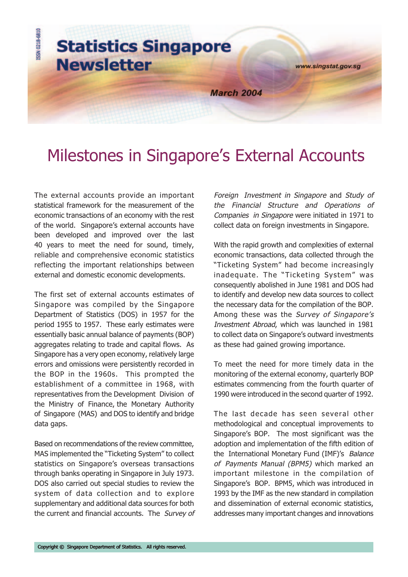

# Milestones in Singapore's External Accounts

The external accounts provide an important statistical framework for the measurement of the economic transactions of an economy with the rest of the world. Singapore's external accounts have been developed and improved over the last 40 years to meet the need for sound, timely, reliable and comprehensive economic statistics reflecting the important relationships between external and domestic economic developments.

The first set of external accounts estimates of Singapore was compiled by the Singapore Department of Statistics (DOS) in 1957 for the period 1955 to 1957. These early estimates were essentially basic annual balance of payments (BOP) aggregates relating to trade and capital flows. As Singapore has a very open economy, relatively large errors and omissions were persistently recorded in the BOP in the 1960s. This prompted the establishment of a committee in 1968, with representatives from the Development Division of the Ministry of Finance, the Monetary Authority of Singapore (MAS) and DOS to identify and bridge data gaps.

Based on recommendations of the review committee, MAS implemented the "Ticketing System" to collect statistics on Singapore's overseas transactions through banks operating in Singapore in July 1973. DOS also carried out special studies to review the system of data collection and to explore supplementary and additional data sources for both the current and financial accounts. The Survey of Foreign Investment in Singapore and Study of the Financial Structure and Operations of Companies in Singapore were initiated in 1971 to collect data on foreign investments in Singapore.

With the rapid growth and complexities of external economic transactions, data collected through the "Ticketing System" had become increasingly inadequate. The "Ticketing System" was consequently abolished in June 1981 and DOS had to identify and develop new data sources to collect the necessary data for the compilation of the BOP. Among these was the Survey of Singapore's Investment Abroad, which was launched in 1981 to collect data on Singapore's outward investments as these had gained growing importance.

To meet the need for more timely data in the monitoring of the external economy, quarterly BOP estimates commencing from the fourth quarter of 1990 were introduced in the second quarter of 1992.

The last decade has seen several other methodological and conceptual improvements to Singapore's BOP. The most significant was the adoption and implementation of the fifth edition of the International Monetary Fund (IMF)'s Balance of Payments Manual (BPM5) which marked an important milestone in the compilation of Singapore's BOP. BPM5, which was introduced in 1993 by the IMF as the new standard in compilation and dissemination of external economic statistics, addresses many important changes and innovations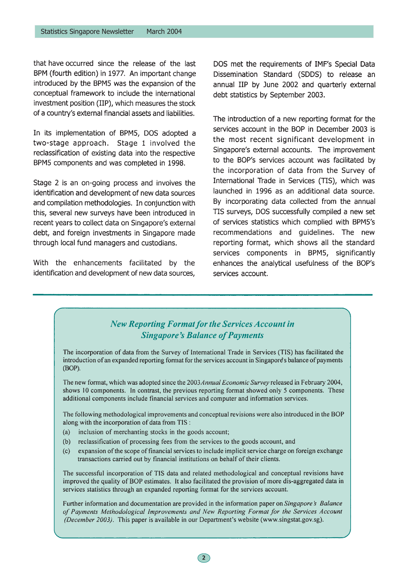that have occurred since the release of the last BPM (fourth edition) in 1977. An important change introduced by the BPM5 was the expansion of the conceptual framework to include the international investment position (IIP), which measures the stock of a country's external financial assets and liabilities.

In its implementation of BPM5, DOS adopted a two-stage approach. Stage 1 involved the reclassification of existing data into the respective BPM5 components and was completed in 1998.

Stage 2 is an on-going process and involves the identification and development of new data sources and compilation methodologies. In conjunction with this, several new surveys have been introduced in recent years to collect data on Singapore's external debt, and foreign investments in Singapore made through local fund managers and custodians.

With the enhancements facilitated by the identification and development of new data sources,

DOS met the requirements of IMF's Special Data Dissemination Standard (SDDS) to release an annual IIP by June 2002 and quarterly external debt statistics by September 2003.

The introduction of a new reporting format for the services account in the BOP in December 2003 is the most recent significant development in Singapore's external accounts. The improvement to the BOP's services account was facilitated by the incorporation of data from the Survey of International Trade in Services (TIS), which was launched in 1996 as an additional data source. By incorporating data collected from the annual TIS surveys, DOS successfully compiled a new set of services statistics which complied with BPM5's recommendations and quidelines. The new reporting format, which shows all the standard services components in BPM5, significantly enhances the analytical usefulness of the BOP's services account.

# **New Reporting Format for the Services Account in Singapore's Balance of Payments** The incorporation of data from the Survey of International Trade in Services (TIS) has facilitated the introduction of an expanded reporting format for the services account in Singapore's balance of payments (BOP). The new format, which was adopted since the 2003 Annual Economic Survey released in February 2004, shows 10 components. In contrast, the previous reporting format showed only 5 components. These additional components include financial services and computer and information services. The following methodological improvements and conceptual revisions were also introduced in the BOP along with the incorporation of data from TIS : inclusion of merchanting stocks in the goods account;  $(a)$ reclassification of processing fees from the services to the goods account, and  $(b)$ expansion of the scope of financial services to include implicit service charge on foreign exchange  $(c)$ transactions carried out by financial institutions on behalf of their clients. The successful incorporation of TIS data and related methodological and conceptual revisions have improved the quality of BOP estimates. It also facilitated the provision of more dis-aggregated data in services statistics through an expanded reporting format for the services account. Further information and documentation are provided in the information paper on Singapore's Balance of Payments Methodological Improvements and New Reporting Format for the Services Account (December 2003). This paper is available in our Department's website (www.singstat.gov.sg).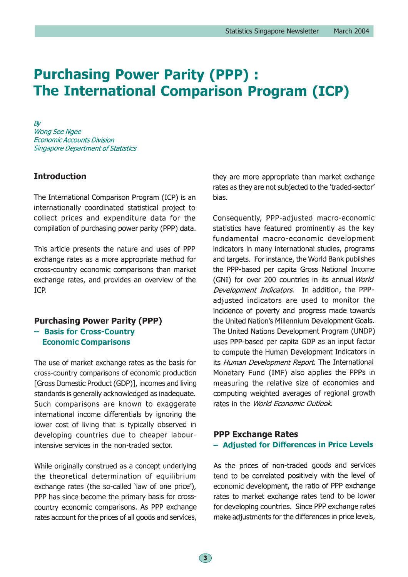# **Purchasing Power Parity (PPP): The International Comparison Program (ICP)**

 $B\!V$ Wong See Ngee **Economic Accounts Division Singapore Department of Statistics** 

# **Introduction**

The International Comparison Program (ICP) is an internationally coordinated statistical project to collect prices and expenditure data for the compilation of purchasing power parity (PPP) data.

This article presents the nature and uses of PPP exchange rates as a more appropriate method for cross-country economic comparisons than market exchange rates, and provides an overview of the ICP.

#### **Purchasing Power Parity (PPP)**

- Basis for Cross-Country **Economic Comparisons** 

The use of market exchange rates as the basis for cross-country comparisons of economic production [Gross Domestic Product (GDP)], incomes and living standards is generally acknowledged as inadequate. Such comparisons are known to exaggerate international income differentials by ignoring the lower cost of living that is typically observed in developing countries due to cheaper labourintensive services in the non-traded sector.

While originally construed as a concept underlying the theoretical determination of equilibrium exchange rates (the so-called 'law of one price'), PPP has since become the primary basis for crosscountry economic comparisons. As PPP exchange rates account for the prices of all goods and services,

they are more appropriate than market exchange rates as they are not subjected to the 'traded-sector' bias.

Consequently, PPP-adjusted macro-economic statistics have featured prominently as the key fundamental macro-economic development indicators in many international studies, programs and targets. For instance, the World Bank publishes the PPP-based per capita Gross National Income (GNI) for over 200 countries in its annual World Development Indicators. In addition, the PPPadjusted indicators are used to monitor the incidence of poverty and progress made towards the United Nation's Millennium Development Goals. The United Nations Development Program (UNDP) uses PPP-based per capita GDP as an input factor to compute the Human Development Indicators in its Human Development Report. The International Monetary Fund (IMF) also applies the PPPs in measuring the relative size of economies and computing weighted averages of regional growth rates in the World Economic Outlook.

# **PPP Exchange Rates** - Adjusted for Differences in Price Levels

As the prices of non-traded goods and services tend to be correlated positively with the level of economic development, the ratio of PPP exchange rates to market exchange rates tend to be lower for developing countries. Since PPP exchange rates make adjustments for the differences in price levels,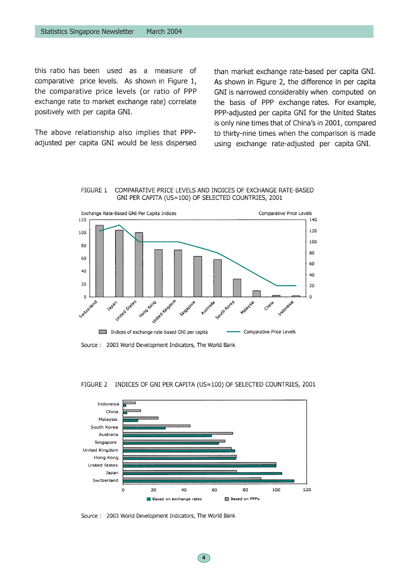this ratio has been used as a measure of comparative price levels. As shown in Figure 1, the comparative price levels (or ratio of PPP exchange rate to market exchange rate) correlate positively with per capita GNI.

The above relationship also implies that PPPadjusted per capita GNI would be less dispersed than market exchange rate-based per capita GNI. As shown in Figure 2, the difference in per capita GNI is narrowed considerably when computed on the basis of PPP exchange rates. For example, PPP-adjusted per capita GNI for the United States is only nine times that of China's in 2001, compared to thirty-nine times when the comparison is made using exchange rate-adjusted per capita GNI.

#### FIGURE 1 COMPARATIVE PRICE LEVELS AND INDICES OF EXCHANGE RATE-BASED GNI PER CAPITA (US=100) OF SELECTED COUNTRIES, 2001



Source: 2003 World Development Indicators, The World Bank

#### **FIGURE 2** INDICES OF GNI PER CAPITA (US=100) OF SELECTED COUNTRIES, 2001



Source: 2003 World Development Indicators, The World Bank

 $\overline{4}$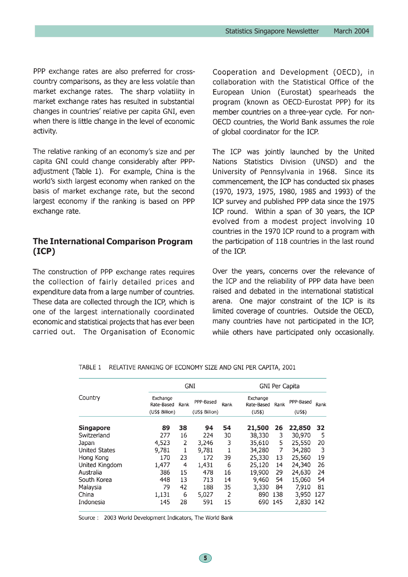PPP exchange rates are also preferred for crosscountry comparisons, as they are less volatile than market exchange rates. The sharp volatility in market exchange rates has resulted in substantial changes in countries' relative per capita GNI, even when there is little change in the level of economic activity.

The relative ranking of an economy's size and per capita GNI could change considerably after PPPadjustment (Table 1). For example, China is the world's sixth largest economy when ranked on the basis of market exchange rate, but the second largest economy if the ranking is based on PPP exchange rate.

# The International Comparison Program  $(ICP)$

The construction of PPP exchange rates requires the collection of fairly detailed prices and expenditure data from a large number of countries. These data are collected through the ICP, which is one of the largest internationally coordinated economic and statistical projects that has ever been carried out. The Organisation of Economic Cooperation and Development (OECD), in collaboration with the Statistical Office of the European Union (Eurostat) spearheads the program (known as OECD-Eurostat PPP) for its member countries on a three-year cycle. For non-OECD countries, the World Bank assumes the role of global coordinator for the ICP.

The ICP was jointly launched by the United Nations Statistics Division (UNSD) and the University of Pennsylvania in 1968. Since its commencement, the ICP has conducted six phases (1970, 1973, 1975, 1980, 1985 and 1993) of the ICP survey and published PPP data since the 1975 ICP round. Within a span of 30 years, the ICP evolved from a modest project involving 10 countries in the 1970 ICP round to a program with the participation of 118 countries in the last round of the ICP.

Over the years, concerns over the relevance of the ICP and the reliability of PPP data have been raised and debated in the international statistical arena. One major constraint of the ICP is its limited coverage of countries. Outside the OECD, many countries have not participated in the ICP, while others have participated only occasionally.

|                      | GNI                    |      |                |      | <b>GNI Per Capita</b>  |      |           |      |
|----------------------|------------------------|------|----------------|------|------------------------|------|-----------|------|
| Country              | Exchange<br>Rate-Based | Rank | PPP-Based      | Rank | Exchange<br>Rate-Based | Rank | PPP-Based | Rank |
|                      | (US\$ Billion)         |      | (US\$ Billion) |      | (US\$)                 |      | (US\$)    |      |
| <b>Singapore</b>     | 89                     | 38   | 94             | 54   | 21,500                 | 26   | 22,850    | 32   |
| Switzerland          | 277                    | 16   | 224            | 30   | 38,330                 | 3    | 30,970    | 5    |
| Japan                | 4,523                  | 2    | 3,246          | 3    | 35,610                 | 5    | 25,550    | 20   |
| <b>United States</b> | 9,781                  | 1    | 9,781          | 1    | 34,280                 | 7    | 34,280    | 3    |
| Hong Kong            | 170                    | 23   | 172            | 39   | 25,330                 | 13   | 25,560    | 19   |
| United Kingdom       | 1.477                  | 4    | 1,431          | 6    | 25,120                 | 14   | 24,340    | 26   |
| Australia            | 386                    | 15   | 478            | 16   | 19,900                 | 29   | 24,630    | 24   |
| South Korea          | 448                    | 13   | 713            | 14   | 9,460                  | 54   | 15,060    | 54   |
| Malaysia             | 79                     | 42   | 188            | 35   | 3,330                  | 84   | 7,910     | 81   |
| China                | 1,131                  | 6    | 5,027          | 2    | 890                    | -138 | 3,950     | 127  |
| Indonesia            | 145                    | 28   | 591            | 15   | 690                    | -145 | 2,830     | 142  |

TABLE 1 RELATIVE RANKING OF ECONOMY SIZE AND GNI PER CAPITA, 2001

Source: 2003 World Development Indicators, The World Bank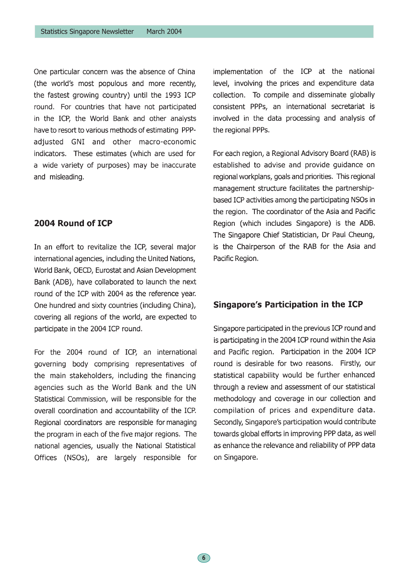One particular concern was the absence of China (the world's most populous and more recently, the fastest growing country) until the 1993 ICP round. For countries that have not participated in the ICP, the World Bank and other analysts have to resort to various methods of estimating PPPadjusted GNI and other macro-economic indicators. These estimates (which are used for a wide variety of purposes) may be inaccurate and misleading.

# 2004 Round of ICP

In an effort to revitalize the ICP, several major international agencies, including the United Nations, World Bank, OECD, Eurostat and Asian Development Bank (ADB), have collaborated to launch the next round of the ICP with 2004 as the reference year. One hundred and sixty countries (including China), covering all regions of the world, are expected to participate in the 2004 ICP round.

For the 2004 round of ICP, an international governing body comprising representatives of the main stakeholders, including the financing agencies such as the World Bank and the UN Statistical Commission, will be responsible for the overall coordination and accountability of the ICP. Regional coordinators are responsible for managing the program in each of the five major regions. The national agencies, usually the National Statistical Offices (NSOs), are largely responsible for

 $\left( 6\right)$ 

implementation of the ICP at the national level, involving the prices and expenditure data collection. To compile and disseminate globally consistent PPPs, an international secretariat is involved in the data processing and analysis of the regional PPPs.

For each region, a Regional Advisory Board (RAB) is established to advise and provide quidance on regional workplans, goals and priorities. This regional management structure facilitates the partnershipbased ICP activities among the participating NSOs in the region. The coordinator of the Asia and Pacific Region (which includes Singapore) is the ADB. The Singapore Chief Statistician, Dr Paul Cheung, is the Chairperson of the RAB for the Asia and Pacific Region.

### Singapore's Participation in the ICP

Singapore participated in the previous ICP round and is participating in the 2004 ICP round within the Asia and Pacific region. Participation in the 2004 ICP round is desirable for two reasons. Firstly, our statistical capability would be further enhanced through a review and assessment of our statistical methodology and coverage in our collection and compilation of prices and expenditure data. Secondly, Singapore's participation would contribute towards global efforts in improving PPP data, as well as enhance the relevance and reliability of PPP data on Singapore.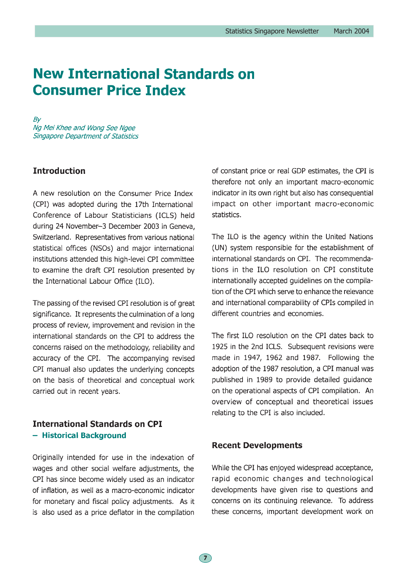# **New International Standards on Consumer Price Index**

 $B<sub>V</sub>$ Ng Mei Khee and Wong See Ngee **Singapore Department of Statistics** 

## **Introduction**

A new resolution on the Consumer Price Index (CPI) was adopted during the 17th International Conference of Labour Statisticians (ICLS) held during 24 November-3 December 2003 in Geneva, Switzerland. Representatives from various national statistical offices (NSOs) and major international institutions attended this high-level CPI committee to examine the draft CPI resolution presented by the International Labour Office (ILO).

The passing of the revised CPI resolution is of great significance. It represents the culmination of a long process of review, improvement and revision in the international standards on the CPI to address the concerns raised on the methodology, reliability and accuracy of the CPI. The accompanying revised CPI manual also updates the underlying concepts on the basis of theoretical and conceptual work carried out in recent years.

# **International Standards on CPI** - Historical Background

Originally intended for use in the indexation of wages and other social welfare adjustments, the CPI has since become widely used as an indicator of inflation, as well as a macro-economic indicator for monetary and fiscal policy adjustments. As it is also used as a price deflator in the compilation

of constant price or real GDP estimates, the CPI is therefore not only an important macro-economic indicator in its own right but also has consequential impact on other important macro-economic statistics.

The ILO is the agency within the United Nations (UN) system responsible for the establishment of international standards on CPI. The recommendations in the ILO resolution on CPI constitute internationally accepted guidelines on the compilation of the CPI which serve to enhance the relevance and international comparability of CPIs compiled in different countries and economies.

The first ILO resolution on the CPI dates back to 1925 in the 2nd ICLS. Subsequent revisions were made in 1947, 1962 and 1987. Following the adoption of the 1987 resolution, a CPI manual was published in 1989 to provide detailed quidance on the operational aspects of CPI compilation. An overview of conceptual and theoretical issues relating to the CPI is also included.

### **Recent Developments**

While the CPI has enjoyed widespread acceptance, rapid economic changes and technological developments have given rise to questions and concerns on its continuing relevance. To address these concerns, important development work on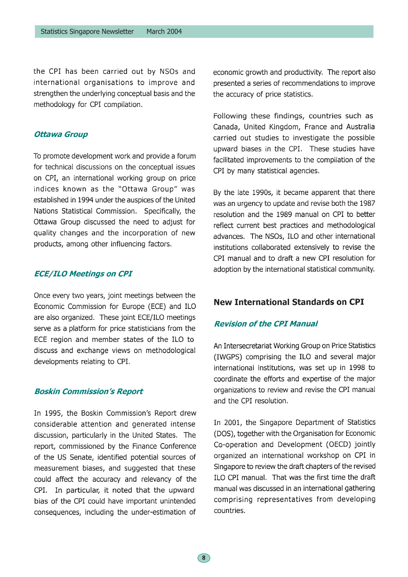the CPI has been carried out by NSOs and international organisations to improve and strengthen the underlying conceptual basis and the methodology for CPI compilation.

#### **Ottawa Group**

To promote development work and provide a forum for technical discussions on the conceptual issues on CPI, an international working group on price indices known as the "Ottawa Group" was established in 1994 under the auspices of the United Nations Statistical Commission. Specifically, the Ottawa Group discussed the need to adjust for quality changes and the incorporation of new products, among other influencing factors.

### **ECE/ILO Meetings on CPI**

Once every two years, joint meetings between the Economic Commission for Europe (ECE) and ILO are also organized. These joint ECE/ILO meetings serve as a platform for price statisticians from the ECE region and member states of the ILO to discuss and exchange views on methodological developments relating to CPI.

#### **Boskin Commission's Report**

In 1995, the Boskin Commission's Report drew considerable attention and generated intense discussion, particularly in the United States. The report, commissioned by the Finance Conference of the US Senate, identified potential sources of measurement biases, and suggested that these could affect the accuracy and relevancy of the CPI. In particular, it noted that the upward bias of the CPI could have important unintended consequences, including the under-estimation of economic growth and productivity. The report also presented a series of recommendations to improve the accuracy of price statistics.

Following these findings, countries such as Canada, United Kingdom, France and Australia carried out studies to investigate the possible upward biases in the CPI. These studies have facilitated improvements to the compilation of the CPI by many statistical agencies.

By the late 1990s, it became apparent that there was an urgency to update and revise both the 1987 resolution and the 1989 manual on CPI to better reflect current best practices and methodological advances. The NSOs, ILO and other international institutions collaborated extensively to revise the CPI manual and to draft a new CPI resolution for adoption by the international statistical community.

### **New International Standards on CPI**

### **Revision of the CPI Manual**

An Intersecretariat Working Group on Price Statistics (IWGPS) comprising the ILO and several major international institutions, was set up in 1998 to coordinate the efforts and expertise of the major organizations to review and revise the CPI manual and the CPI resolution.

In 2001, the Singapore Department of Statistics (DOS), together with the Organisation for Economic Co-operation and Development (OECD) jointly organized an international workshop on CPI in Singapore to review the draft chapters of the revised ILO CPI manual. That was the first time the draft manual was discussed in an international gathering comprising representatives from developing countries.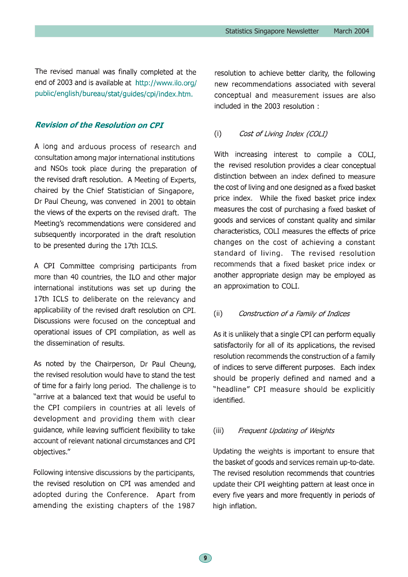The revised manual was finally completed at the end of 2003 and is available at http://www.ilo.org/ public/english/bureau/stat/quides/cpi/index.htm.

### **Revision of the Resolution on CPI**

A long and arduous process of research and consultation among major international institutions and NSOs took place during the preparation of the revised draft resolution. A Meeting of Experts, chaired by the Chief Statistician of Singapore, Dr Paul Cheung, was convened in 2001 to obtain the views of the experts on the revised draft. The Meeting's recommendations were considered and subsequently incorporated in the draft resolution to be presented during the 17th ICLS.

A CPI Committee comprising participants from more than 40 countries, the ILO and other major international institutions was set up during the 17th ICLS to deliberate on the relevancy and applicability of the revised draft resolution on CPI. Discussions were focused on the conceptual and operational issues of CPI compilation, as well as the dissemination of results.

As noted by the Chairperson, Dr Paul Cheung, the revised resolution would have to stand the test of time for a fairly long period. The challenge is to "arrive at a balanced text that would be useful to the CPI compilers in countries at all levels of development and providing them with clear guidance, while leaving sufficient flexibility to take account of relevant national circumstances and CPI objectives."

Following intensive discussions by the participants, the revised resolution on CPI was amended and adopted during the Conference. Apart from amending the existing chapters of the 1987

resolution to achieve better clarity, the following new recommendations associated with several conceptual and measurement issues are also included in the 2003 resolution:

#### $(i)$ Cost of Living Index (COLI)

With increasing interest to compile a COLI. the revised resolution provides a clear conceptual distinction between an index defined to measure the cost of living and one designed as a fixed basket price index. While the fixed basket price index measures the cost of purchasing a fixed basket of goods and services of constant quality and similar characteristics, COLI measures the effects of price changes on the cost of achieving a constant standard of living. The revised resolution recommends that a fixed basket price index or another appropriate design may be employed as an approximation to COLI.

#### $(ii)$ Construction of a Family of Indices

As it is unlikely that a single CPI can perform equally satisfactorily for all of its applications, the revised resolution recommends the construction of a family of indices to serve different purposes. Each index should be properly defined and named and a "headline" CPI measure should be explicitly identified.

#### $(iii)$ Frequent Updating of Weights

Updating the weights is important to ensure that the basket of goods and services remain up-to-date. The revised resolution recommends that countries update their CPI weighting pattern at least once in every five years and more frequently in periods of high inflation.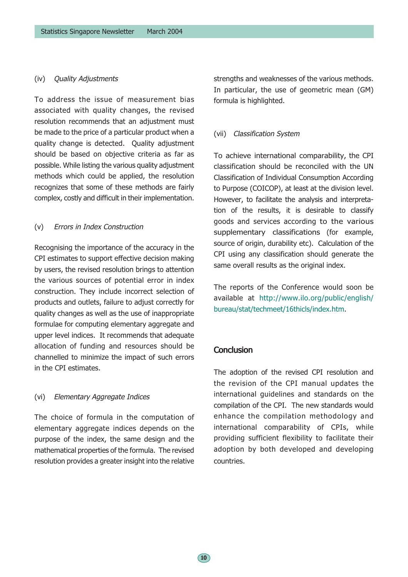#### (iv) Quality Adjustments

To address the issue of measurement bias associated with quality changes, the revised resolution recommends that an adjustment must be made to the price of a particular product when a quality change is detected. Quality adjustment should be based on objective criteria as far as possible. While listing the various quality adjustment methods which could be applied, the resolution recognizes that some of these methods are fairly complex, costly and difficult in their implementation.

#### (v) Errors in Index Construction

Recognising the importance of the accuracy in the CPI estimates to support effective decision making by users, the revised resolution brings to attention the various sources of potential error in index construction. They include incorrect selection of products and outlets, failure to adjust correctly for quality changes as well as the use of inappropriate formulae for computing elementary aggregate and upper level indices. It recommends that adequate allocation of funding and resources should be channelled to minimize the impact of such errors in the CPI estimates

### (vi) Elementary Aggregate Indices

The choice of formula in the computation of elementary aggregate indices depends on the purpose of the index, the same design and the mathematical properties of the formula. The revised resolution provides a greater insight into the relative

strengths and weaknesses of the various methods. In particular, the use of geometric mean (GM) formula is highlighted.

#### (vii) Classification System

To achieve international comparability, the CPI classification should be reconciled with the UN Classification of Individual Consumption According to Purpose (COICOP), at least at the division level. However, to facilitate the analysis and interpretation of the results, it is desirable to classify goods and services according to the various supplementary classifications (for example, source of origin, durability etc). Calculation of the CPI using any classification should generate the same overall results as the original index.

The reports of the Conference would soon be available at http://www.ilo.org/public/english/ bureau/stat/techmeet/16thicls/index.htm.

## **Conclusion**

The adoption of the revised CPI resolution and the revision of the CPI manual updates the international guidelines and standards on the compilation of the CPI. The new standards would enhance the compilation methodology and international comparability of CPIs, while providing sufficient flexibility to facilitate their adoption by both developed and developing countries.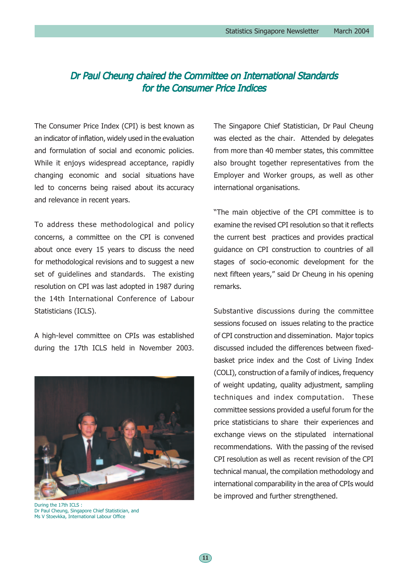# Dr Paul Cheung chaired the Committee on International Standards for the Consumer Price Indices

The Consumer Price Index (CPI) is best known as an indicator of inflation, widely used in the evaluation and formulation of social and economic policies. While it enjoys widespread acceptance, rapidly changing economic and social situations have led to concerns being raised about its accuracy and relevance in recent years.

To address these methodological and policy concerns, a committee on the CPI is convened about once every 15 years to discuss the need for methodological revisions and to suggest a new set of guidelines and standards. The existing resolution on CPI was last adopted in 1987 during the 14th International Conference of Labour Statisticians (ICLS).

A high-level committee on CPIs was established during the 17th ICLS held in November 2003.



During the 17th ICLS : Dr Paul Cheung, Singapore Chief Statistician, and Ms V Stoevkka, International Labour Office

The Singapore Chief Statistician, Dr Paul Cheung was elected as the chair. Attended by delegates from more than 40 member states, this committee also brought together representatives from the Employer and Worker groups, as well as other international organisations.

"The main objective of the CPI committee is to examine the revised CPI resolution so that it reflects the current best practices and provides practical guidance on CPI construction to countries of all stages of socio-economic development for the next fifteen years," said Dr Cheung in his opening remarks.

Substantive discussions during the committee sessions focused on issues relating to the practice of CPI construction and dissemination. Major topics discussed included the differences between fixedbasket price index and the Cost of Living Index (COLI), construction of a family of indices, frequency of weight updating, quality adjustment, sampling techniques and index computation. These committee sessions provided a useful forum for the price statisticians to share their experiences and exchange views on the stipulated international recommendations. With the passing of the revised CPI resolution as well as recent revision of the CPI technical manual, the compilation methodology and international comparability in the area of CPIs would be improved and further strengthened.

11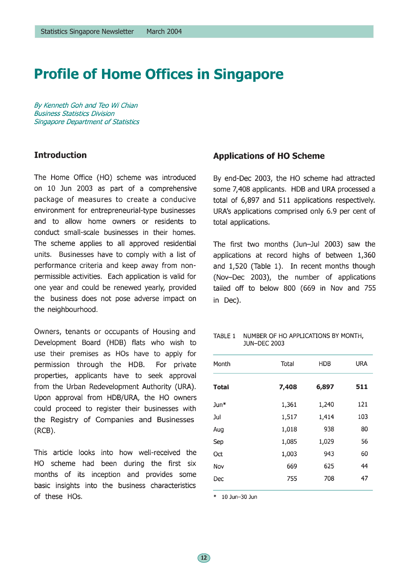# **Profile of Home Offices in Singapore**

By Kenneth Goh and Teo Wi Chian **Business Statistics Division Singapore Department of Statistics** 

## **Introduction**

The Home Office (HO) scheme was introduced on 10 Jun 2003 as part of a comprehensive package of measures to create a conducive environment for entrepreneurial-type businesses and to allow home owners or residents to conduct small-scale businesses in their homes. The scheme applies to all approved residential units. Businesses have to comply with a list of performance criteria and keep away from nonpermissible activities. Each application is valid for one year and could be renewed yearly, provided the business does not pose adverse impact on the neighbourhood.

Owners, tenants or occupants of Housing and Development Board (HDB) flats who wish to use their premises as HOs have to apply for permission through the HDB. For private properties, applicants have to seek approval from the Urban Redevelopment Authority (URA). Upon approval from HDB/URA, the HO owners could proceed to register their businesses with the Registry of Companies and Businesses  $(RCB)$ .

This article looks into how well-received the HO scheme had been during the first six months of its inception and provides some basic insights into the business characteristics of these HOs.

### **Applications of HO Scheme**

By end-Dec 2003, the HO scheme had attracted some 7,408 applicants. HDB and URA processed a total of 6,897 and 511 applications respectively. URA's applications comprised only 6.9 per cent of total applications.

The first two months (Jun-Jul 2003) saw the applications at record highs of between 1,360 and 1,520 (Table 1). In recent months though (Nov-Dec 2003), the number of applications tailed off to below 800 (669 in Nov and 755 in Dec).

#### TABLE 1 NUMBER OF HO APPLICATIONS BY MONTH, **JUN-DEC 2003**

| Month           | Total | <b>HDB</b> | <b>URA</b> |
|-----------------|-------|------------|------------|
| <b>Total</b>    | 7,408 | 6,897      | 511        |
| $Jun*$          | 1,361 | 1,240      | 121        |
| Jul             | 1,517 | 1,414      | 103        |
| Aug             | 1,018 | 938        | 80         |
| Sep             | 1,085 | 1,029      | 56         |
| 0 <sub>ct</sub> | 1,003 | 943        | 60         |
| Nov             | 669   | 625        | 44         |
| Dec             | 755   | 708        | 47         |
|                 |       |            |            |

10 Jun-30 Jun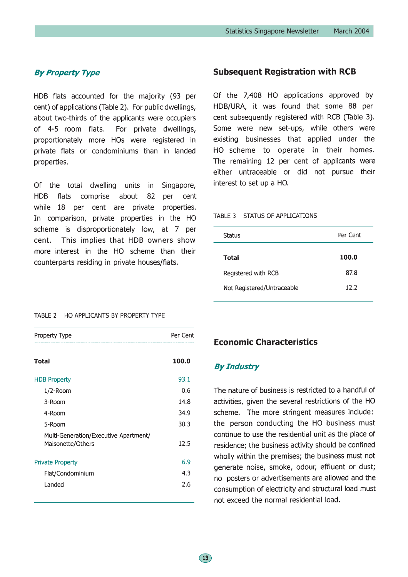## **By Property Type**

HDB flats accounted for the majority (93 per cent) of applications (Table 2). For public dwellings, about two-thirds of the applicants were occupiers of 4-5 room flats. For private dwellings, proportionately more HOs were registered in private flats or condominiums than in landed properties.

Of the total dwelling units in Singapore, **HDB** flats comprise about 82 per cent while 18 per cent are private properties. In comparison, private properties in the HO scheme is disproportionately low, at 7 per This implies that HDB owners show cent. more interest in the HO scheme than their counterparts residing in private houses/flats.

### **Subsequent Registration with RCB**

Of the 7,408 HO applications approved by HDB/URA, it was found that some 88 per cent subsequently registered with RCB (Table 3). Some were new set-ups, while others were existing businesses that applied under the HO scheme to operate in their homes. The remaining 12 per cent of applicants were either untraceable or did not pursue their interest to set up a HO.

#### TABLE 3 STATUS OF APPLICATIONS

| Status                     | Per Cent |
|----------------------------|----------|
| Total                      | 100.0    |
| Registered with RCB        | 87.8     |
| Not Registered/Untraceable | 12.2     |

#### TABLE 2 HO APPLICANTS BY PROPERTY TYPE

| Property Type                                              | Per Cent |
|------------------------------------------------------------|----------|
| <b>Total</b>                                               | 100.0    |
| <b>HDB Property</b>                                        | 93.1     |
| $1/2$ -Room                                                | 0.6      |
| 3-Room                                                     | 14.8     |
| 4-Room                                                     | 34.9     |
| 5-Room                                                     | 30.3     |
| Multi-Generation/Executive Apartment/<br>Maisonette/Others | 12.5     |
| Private Property                                           | 6.9      |
| Flat/Condominium                                           | 4.3      |
| Landed                                                     | 2.6      |

### **Economic Characteristics**

#### **By Industry**

The nature of business is restricted to a handful of activities, given the several restrictions of the HO scheme. The more stringent measures include: the person conducting the HO business must continue to use the residential unit as the place of residence; the business activity should be confined wholly within the premises; the business must not generate noise, smoke, odour, effluent or dust; no posters or advertisements are allowed and the consumption of electricity and structural load must not exceed the normal residential load.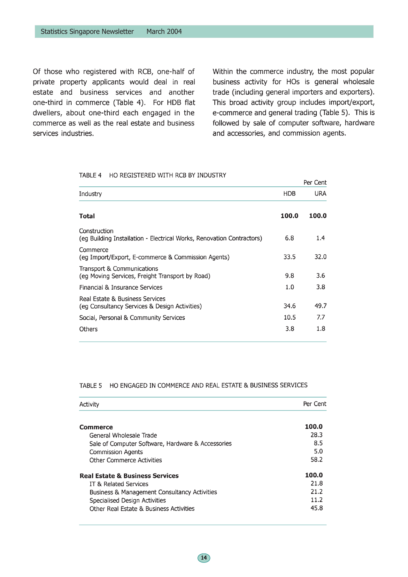Of those who registered with RCB, one-half of private property applicants would deal in real estate and business services and another one-third in commerce (Table 4). For HDB flat dwellers, about one-third each engaged in the commerce as well as the real estate and business services industries.

Within the commerce industry, the most popular business activity for HOs is general wholesale trade (including general importers and exporters). This broad activity group includes import/export, e-commerce and general trading (Table 5). This is followed by sale of computer software, hardware and accessories, and commission agents.

#### TABLE 4 HO REGISTERED WITH RCB BY INDUSTRY

|                                                                                       |            | Per Cent |
|---------------------------------------------------------------------------------------|------------|----------|
| Industry                                                                              | <b>HDB</b> | URA      |
| Total                                                                                 | 100.0      | 100.0    |
| Construction<br>(eg Building Installation - Electrical Works, Renovation Contractors) | 6.8        | 1.4      |
| Commerce<br>(eq Import/Export, E-commerce & Commission Agents)                        | 33.5       | 32.0     |
| Transport & Communications<br>(eg Moving Services, Freight Transport by Road)         | 9.8        | 3.6      |
| Financial & Insurance Services                                                        | 1.0        | 3.8      |
| Real Estate & Business Services<br>(eg Consultancy Services & Design Activities)      | 34.6       | 49.7     |
| Social, Personal & Community Services                                                 | 10.5       | 7.7      |
| <b>Others</b>                                                                         | 3.8        | 1.8      |

#### TABLE 5 HO ENGAGED IN COMMERCE AND REAL ESTATE & BUSINESS SERVICES

| Activity                                                | Per Cent |
|---------------------------------------------------------|----------|
| Commerce                                                | 100.0    |
| General Wholesale Trade                                 | 28.3     |
| Sale of Computer Software, Hardware & Accessories       | 8.5      |
| <b>Commission Agents</b>                                | 5.0      |
| <b>Other Commerce Activities</b>                        | 58.2     |
| <b>Real Estate &amp; Business Services</b>              | 100.0    |
| IT & Related Services                                   | 21.8     |
| <b>Business &amp; Management Consultancy Activities</b> | 21.2     |
| Specialised Design Activities                           | 11.2     |
| Other Real Estate & Business Activities                 | 45.8     |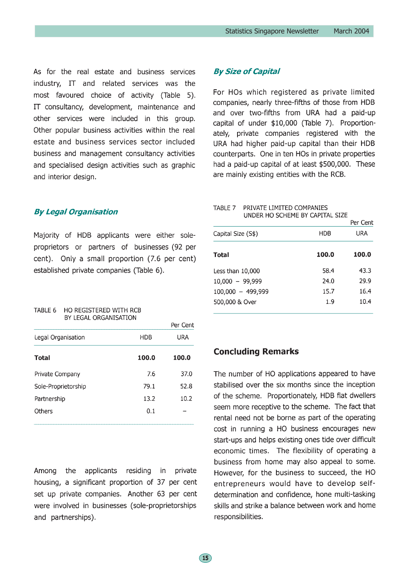As for the real estate and business services industry, IT and related services was the most favoured choice of activity (Table 5). IT consultancy, development, maintenance and other services were included in this group. Other popular business activities within the real estate and business services sector included business and management consultancy activities and specialised design activities such as graphic and interior design.

#### **By Legal Organisation**

Majority of HDB applicants were either soleproprietors or partners of businesses (92 per cent). Only a small proportion (7.6 per cent) established private companies (Table 6).

#### TABLE 6 HO REGISTERED WITH RCB BY LEGAL ORGANISATION

|       | Per Cent |
|-------|----------|
| HDB   | URA      |
| 100.0 | 100.0    |
| 7.6   | 37.0     |
| 79.1  | 52.8     |
| 13.2  | 10.2     |
| 0.1   |          |
|       |          |

applicants residing in private Amona the housing, a significant proportion of 37 per cent set up private companies. Another 63 per cent were involved in businesses (sole-proprietorships and partnerships).

### **By Size of Capital**

For HOs which registered as private limited companies, nearly three-fifths of those from HDB and over two-fifths from URA had a paid-up capital of under \$10,000 (Table 7). Proportionately, private companies registered with the URA had higher paid-up capital than their HDB counterparts. One in ten HOs in private properties had a paid-up capital of at least \$500,000. These are mainly existing entities with the RCB.

#### TABLE 7 PRIVATE LIMITED COMPANIES UNDER HO SCHEME BY CAPITAL SIZE

|                     |       | Per Cent |
|---------------------|-------|----------|
| Capital Size (S\$)  | HDB   | URA      |
| <b>Total</b>        | 100.0 | 100.0    |
| Less than 10,000    | 58.4  | 43.3     |
| $10,000 - 99,999$   | 24.0  | 29.9     |
| $100,000 - 499,999$ | 15.7  | 16.4     |
| 500,000 & Over      | 1.9   | 10.4     |

# **Concluding Remarks**

The number of HO applications appeared to have stabilised over the six months since the inception of the scheme. Proportionately, HDB flat dwellers seem more receptive to the scheme. The fact that rental need not be borne as part of the operating cost in running a HO business encourages new start-ups and helps existing ones tide over difficult economic times. The flexibility of operating a business from home may also appeal to some. However, for the business to succeed, the HO entrepreneurs would have to develop selfdetermination and confidence, hone multi-tasking skills and strike a balance between work and home responsibilities.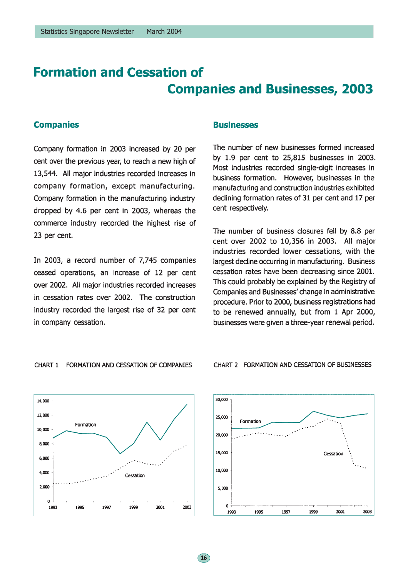# **Formation and Cessation of Companies and Businesses, 2003**

 $\left(16\right)$ 

### **Companies**

Company formation in 2003 increased by 20 per cent over the previous year, to reach a new high of 13,544. All major industries recorded increases in company formation, except manufacturing. Company formation in the manufacturing industry dropped by 4.6 per cent in 2003, whereas the commerce industry recorded the highest rise of 23 per cent.

In 2003, a record number of 7,745 companies ceased operations, an increase of 12 per cent over 2002. All major industries recorded increases in cessation rates over 2002. The construction industry recorded the largest rise of 32 per cent in company cessation.

### **Businesses**

The number of new businesses formed increased by 1.9 per cent to 25,815 businesses in 2003. Most industries recorded single-digit increases in business formation. However, businesses in the manufacturing and construction industries exhibited declining formation rates of 31 per cent and 17 per cent respectively.

The number of business closures fell by 8.8 per cent over 2002 to 10,356 in 2003. All major industries recorded lower cessations, with the largest decline occurring in manufacturing. Business cessation rates have been decreasing since 2001. This could probably be explained by the Registry of Companies and Businesses' change in administrative procedure. Prior to 2000, business registrations had to be renewed annually, but from 1 Apr 2000, businesses were given a three-year renewal period.







#### CHART 2 FORMATION AND CESSATION OF BUSINESSES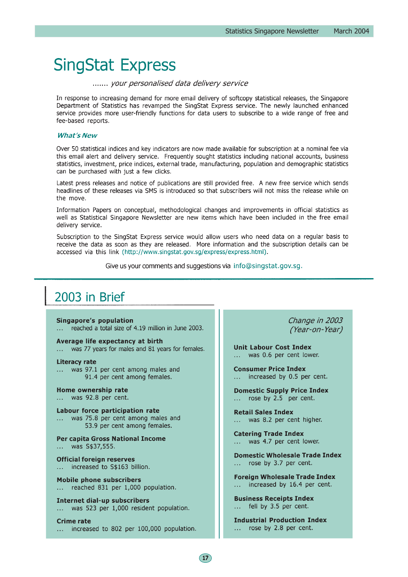# **SingStat Express**

#### ....... your personalised data delivery service

In response to increasing demand for more email delivery of softcopy statistical releases, the Singapore Department of Statistics has revamped the SingStat Express service. The newly launched enhanced service provides more user-friendly functions for data users to subscribe to a wide range of free and fee-based reports.

#### **What's New**

Over 50 statistical indices and key indicators are now made available for subscription at a nominal fee via this email alert and delivery service. Frequently sought statistics including national accounts, business statistics, investment, price indices, external trade, manufacturing, population and demographic statistics can be purchased with just a few clicks.

Latest press releases and notice of publications are still provided free. A new free service which sends headlines of these releases via SMS is introduced so that subscribers will not miss the release while on the move.

Information Papers on conceptual, methodological changes and improvements in official statistics as well as Statistical Singapore Newsletter are new items which have been included in the free email delivery service.

Subscription to the SingStat Express service would allow users who need data on a regular basis to receive the data as soon as they are released. More information and the subscription details can be accessed via this link (http://www.singstat.gov.sg/express/express.html).

Give us your comments and suggestions via info@singstat.gov.sg.

# 2003 in Brief

#### Singapore's population

reached a total size of 4.19 million in June 2003.

Average life expectancy at birth was 77 years for males and 81 years for females.  $\sim 10$ 

#### **Literacy rate**

was 97.1 per cent among males and 91.4 per cent among females.

Home ownership rate was 92.8 per cent.

Labour force participation rate ... was 75.8 per cent among males and 53.9 per cent among females.

Per capita Gross National Income ... was S\$37,555.

**Official foreign reserves** increased to S\$163 billion.

**Mobile phone subscribers** reached 831 per 1,000 population.

**Internet dial-up subscribers** was 523 per 1,000 resident population.  $\mathbf{1}$ 

**Crime rate** ... increased to 802 per 100,000 population. Change in 2003 (Year-on-Year)

**Unit Labour Cost Index** ... was 0.6 per cent lower.

**Consumer Price Index** ... increased by 0.5 per cent.

**Domestic Supply Price Index** ... rose by 2.5 per cent.

**Retail Sales Index** ... was 8.2 per cent higher.

**Catering Trade Index** was 4.7 per cent lower. **Collection** 

**Domestic Wholesale Trade Index** ... rose by 3.7 per cent.

**Foreign Wholesale Trade Index** increased by 16.4 per cent.  $\mathbf{1}$ 

**Business Receipts Index** ... fell by 3.5 per cent.

**Industrial Production Index** rose by 2.8 per cent.  $\mathbf{1}$  ,  $\mathbf{1}$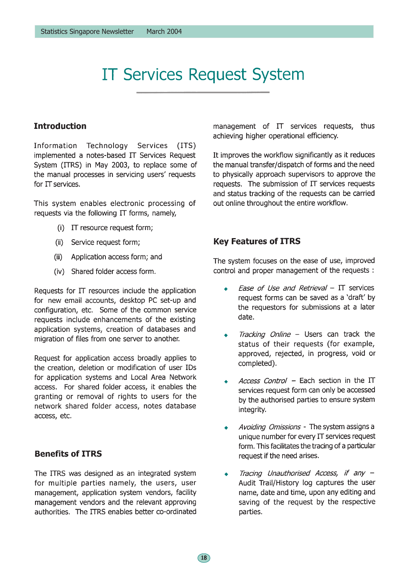# **IT Services Request System**

# **Introduction**

Information Technology Services (ITS) implemented a notes-based IT Services Request System (ITRS) in May 2003, to replace some of the manual processes in servicing users' requests for IT services.

This system enables electronic processing of requests via the following IT forms, namely,

- (i) IT resource request form;
- (ii) Service request form;
- $(iii)$ Application access form; and
- (iv) Shared folder access form.

Requests for IT resources include the application for new email accounts, desktop PC set-up and configuration, etc. Some of the common service requests include enhancements of the existing application systems, creation of databases and migration of files from one server to another.

Request for application access broadly applies to the creation, deletion or modification of user IDs for application systems and Local Area Network access. For shared folder access, it enables the granting or removal of rights to users for the network shared folder access, notes database access, etc.

# **Benefits of ITRS**

The ITRS was designed as an integrated system for multiple parties namely, the users, user management, application system vendors, facility management vendors and the relevant approving authorities. The ITRS enables better co-ordinated management of IT services requests, thus achieving higher operational efficiency.

It improves the workflow significantly as it reduces the manual transfer/dispatch of forms and the need to physically approach supervisors to approve the requests. The submission of  $\Pi$  services requests and status tracking of the requests can be carried out online throughout the entire workflow.

# **Key Features of ITRS**

The system focuses on the ease of use, improved control and proper management of the requests :

- Ease of Use and Retrieval IT services  $\ddot{\bullet}$ request forms can be saved as a 'draft' by the requestors for submissions at a later date.
- Tracking Online Users can track the  $\ddot{\bullet}$ status of their requests (for example, approved, rejected, in progress, void or completed).
- Access Control Each section in the IT Ä. services request form can only be accessed by the authorised parties to ensure system integrity.
- Avoiding Omissions The system assigns a  $\bullet$ unique number for every IT services request form. This facilitates the tracing of a particular request if the need arises.
- Tracing Unauthorised Access, if any -Audit Trail/History log captures the user name, date and time, upon any editing and saving of the request by the respective parties.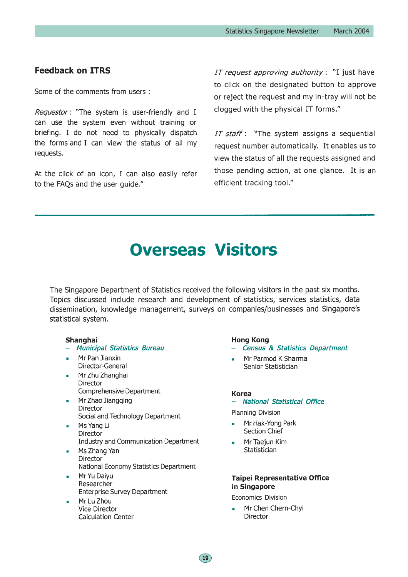# **Feedback on ITRS**

Some of the comments from users:

Requestor: "The system is user-friendly and I can use the system even without training or briefing. I do not need to physically dispatch the forms and I can view the status of all my requests.

At the click of an icon, I can also easily refer to the FAQs and the user guide."

IT request approving authority : "I just have to click on the designated button to approve or reject the request and my in-tray will not be clogged with the physical IT forms."

IT staff : "The system assigns a sequential request number automatically. It enables us to view the status of all the requests assigned and those pending action, at one glance. It is an efficient tracking tool."

# **Overseas Visitors**

The Singapore Department of Statistics received the following visitors in the past six months. Topics discussed include research and development of statistics, services statistics, data dissemination, knowledge management, surveys on companies/businesses and Singapore's statistical system.

 $\boxed{19}$ 

#### Shanghai

- Municipal Statistics Bureau
- Mr Pan Jianxin Director-General
- Mr Zhu Zhanghai Director Comprehensive Department
- Mr Zhao Jiangqing Director Social and Technology Department
- Ms Yang Li Director **Industry and Communication Department**
- Ms Zhang Yan Director National Economy Statistics Department
- Mr Yu Daiyu Researcher **Enterprise Survey Department**
- Mr Lu Zhou Vice Director **Calculation Center**

#### **Hong Kong**

- **Census & Statistics Department**
- Mr Parmod K Sharma Senior Statistician

#### **Korea**

### - National Statistical Office

Planning Division

- Mr Hak-Yong Park **Section Chief**
- Mr Taejun Kim Statistician

#### **Taipei Representative Office** in Singapore

Economics Division

Mr Chen Chern-Chyi **Director**